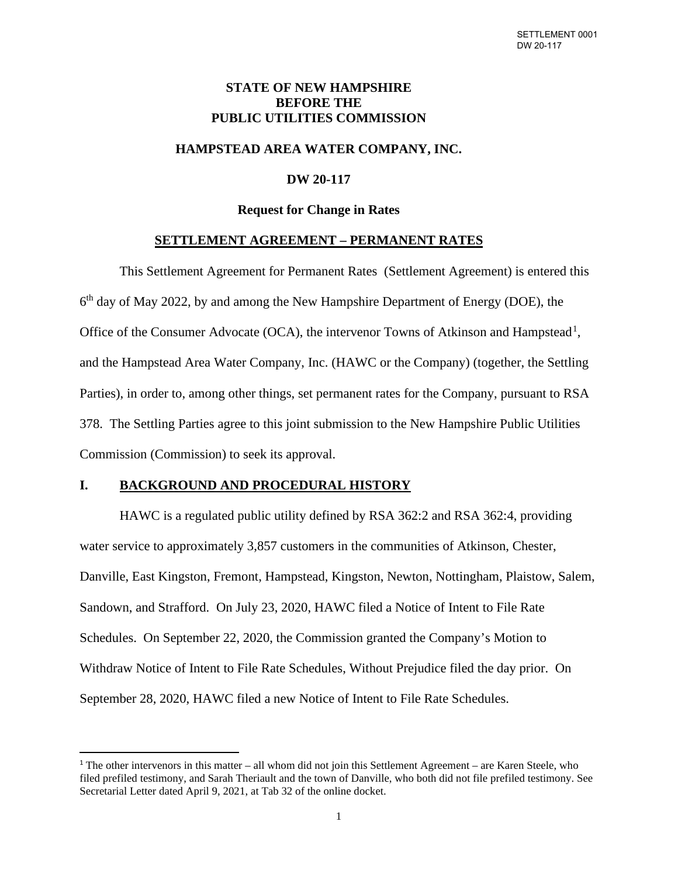# **STATE OF NEW HAMPSHIRE BEFORE THE PUBLIC UTILITIES COMMISSION**

# **HAMPSTEAD AREA WATER COMPANY, INC.**

# **DW 20-117**

## **Request for Change in Rates**

## **SETTLEMENT AGREEMENT – PERMANENT RATES**

This Settlement Agreement for Permanent Rates (Settlement Agreement) is entered this 6th day of May 2022, by and among the New Hampshire Department of Energy (DOE), the Office of the Consumer Advocate (OCA), the intervenor Towns of Atkinson and Hampstead<sup>[1](#page-0-0)</sup>, and the Hampstead Area Water Company, Inc. (HAWC or the Company) (together, the Settling Parties), in order to, among other things, set permanent rates for the Company, pursuant to RSA 378. The Settling Parties agree to this joint submission to the New Hampshire Public Utilities Commission (Commission) to seek its approval.

## **I. BACKGROUND AND PROCEDURAL HISTORY**

HAWC is a regulated public utility defined by RSA 362:2 and RSA 362:4, providing water service to approximately 3,857 customers in the communities of Atkinson, Chester, Danville, East Kingston, Fremont, Hampstead, Kingston, Newton, Nottingham, Plaistow, Salem, Sandown, and Strafford. On July 23, 2020, HAWC filed a Notice of Intent to File Rate Schedules. On September 22, 2020, the Commission granted the Company's Motion to Withdraw Notice of Intent to File Rate Schedules, Without Prejudice filed the day prior. On September 28, 2020, HAWC filed a new Notice of Intent to File Rate Schedules.

<span id="page-0-0"></span><sup>1</sup> The other intervenors in this matter – all whom did not join this Settlement Agreement – are Karen Steele, who filed prefiled testimony, and Sarah Theriault and the town of Danville, who both did not file prefiled testimony. See Secretarial Letter dated April 9, 2021, at Tab 32 of the online docket.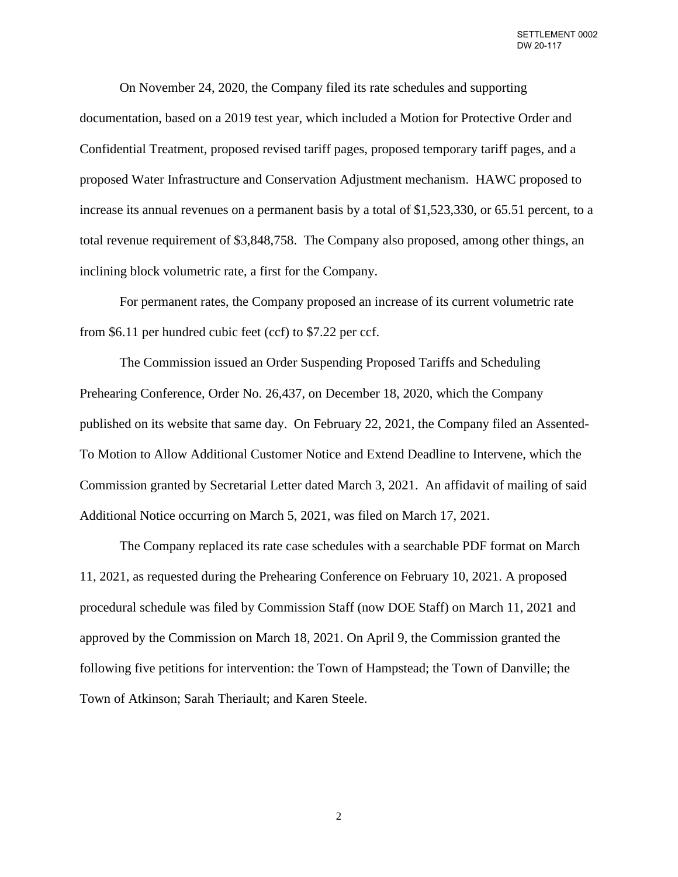On November 24, 2020, the Company filed its rate schedules and supporting documentation, based on a 2019 test year, which included a Motion for Protective Order and Confidential Treatment, proposed revised tariff pages, proposed temporary tariff pages, and a proposed Water Infrastructure and Conservation Adjustment mechanism. HAWC proposed to increase its annual revenues on a permanent basis by a total of \$1,523,330, or 65.51 percent, to a total revenue requirement of \$3,848,758. The Company also proposed, among other things, an inclining block volumetric rate, a first for the Company.

For permanent rates, the Company proposed an increase of its current volumetric rate from \$6.11 per hundred cubic feet (ccf) to \$7.22 per ccf.

The Commission issued an Order Suspending Proposed Tariffs and Scheduling Prehearing Conference, Order No. 26,437, on December 18, 2020, which the Company published on its website that same day. On February 22, 2021, the Company filed an Assented-To Motion to Allow Additional Customer Notice and Extend Deadline to Intervene, which the Commission granted by Secretarial Letter dated March 3, 2021. An affidavit of mailing of said Additional Notice occurring on March 5, 2021, was filed on March 17, 2021.

The Company replaced its rate case schedules with a searchable PDF format on March 11, 2021, as requested during the Prehearing Conference on February 10, 2021. A proposed procedural schedule was filed by Commission Staff (now DOE Staff) on March 11, 2021 and approved by the Commission on March 18, 2021. On April 9, the Commission granted the following five petitions for intervention: the Town of Hampstead; the Town of Danville; the Town of Atkinson; Sarah Theriault; and Karen Steele.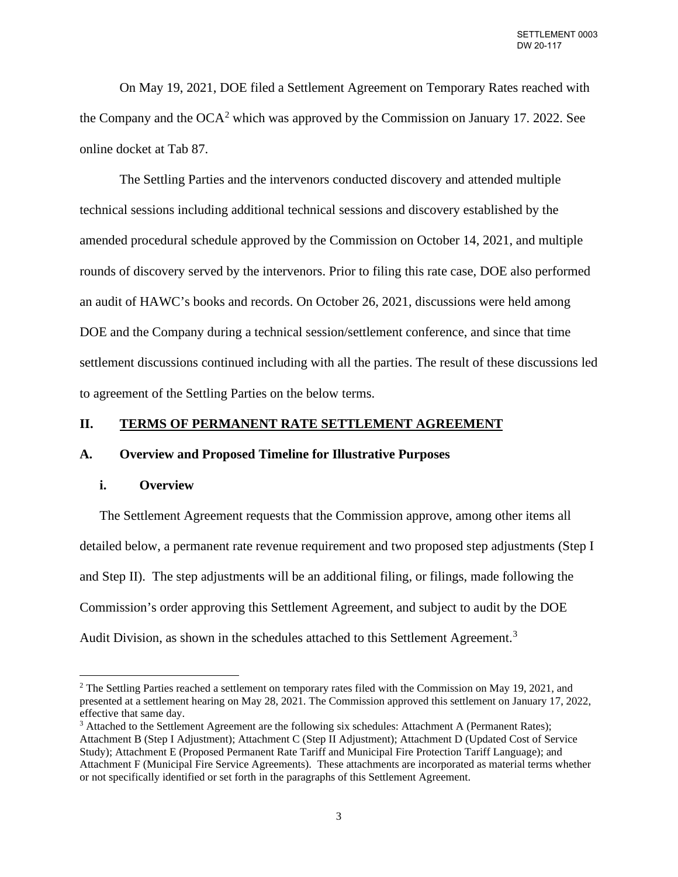On May 19, 2021, DOE filed a Settlement Agreement on Temporary Rates reached with the Company and the  $OCA^2$  $OCA^2$  which was approved by the Commission on January 17. 2022. See online docket at Tab 87.

The Settling Parties and the intervenors conducted discovery and attended multiple technical sessions including additional technical sessions and discovery established by the amended procedural schedule approved by the Commission on October 14, 2021, and multiple rounds of discovery served by the intervenors. Prior to filing this rate case, DOE also performed an audit of HAWC's books and records. On October 26, 2021, discussions were held among DOE and the Company during a technical session/settlement conference, and since that time settlement discussions continued including with all the parties. The result of these discussions led to agreement of the Settling Parties on the below terms.

## **II. TERMS OF PERMANENT RATE SETTLEMENT AGREEMENT**

#### **A. Overview and Proposed Timeline for Illustrative Purposes**

## **i. Overview**

The Settlement Agreement requests that the Commission approve, among other items all detailed below, a permanent rate revenue requirement and two proposed step adjustments (Step I and Step II). The step adjustments will be an additional filing, or filings, made following the Commission's order approving this Settlement Agreement, and subject to audit by the DOE Audit Division, as shown in the schedules attached to this Settlement Agreement.<sup>[3](#page-2-1)</sup>

<span id="page-2-0"></span><sup>&</sup>lt;sup>2</sup> The Settling Parties reached a settlement on temporary rates filed with the Commission on May 19, 2021, and presented at a settlement hearing on May 28, 2021. The Commission approved this settlement on January 17, 2022, effective that same day.<br><sup>3</sup> Attached to the Settlement Agreement are the following six schedules: Attachment A (Permanent Rates);

<span id="page-2-1"></span>Attachment B (Step I Adjustment); Attachment C (Step II Adjustment); Attachment D (Updated Cost of Service Study); Attachment E (Proposed Permanent Rate Tariff and Municipal Fire Protection Tariff Language); and Attachment F (Municipal Fire Service Agreements). These attachments are incorporated as material terms whether or not specifically identified or set forth in the paragraphs of this Settlement Agreement.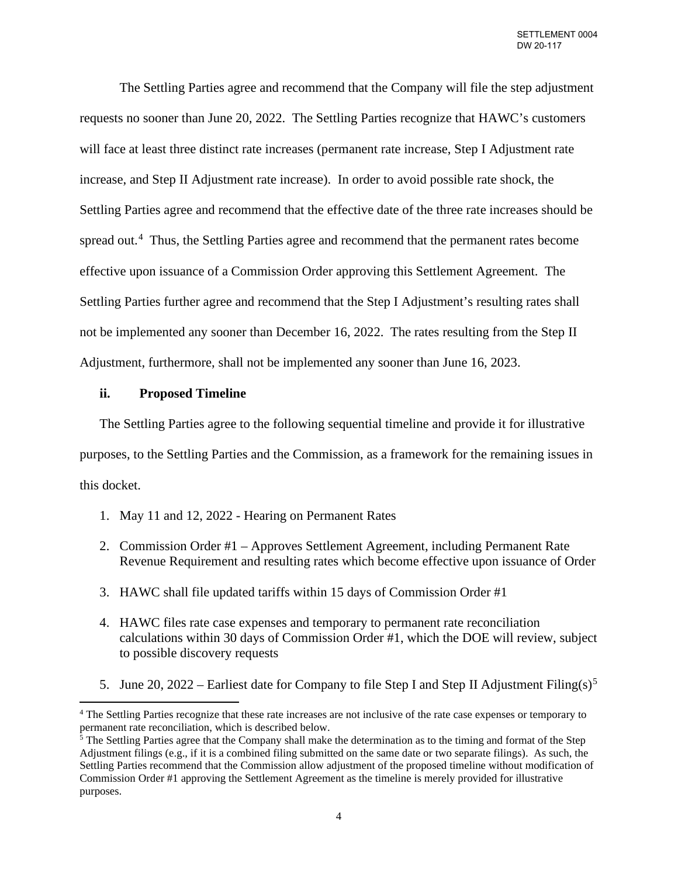The Settling Parties agree and recommend that the Company will file the step adjustment requests no sooner than June 20, 2022. The Settling Parties recognize that HAWC's customers will face at least three distinct rate increases (permanent rate increase, Step I Adjustment rate increase, and Step II Adjustment rate increase). In order to avoid possible rate shock, the Settling Parties agree and recommend that the effective date of the three rate increases should be spread out.<sup>[4](#page-3-0)</sup> Thus, the Settling Parties agree and recommend that the permanent rates become effective upon issuance of a Commission Order approving this Settlement Agreement. The Settling Parties further agree and recommend that the Step I Adjustment's resulting rates shall not be implemented any sooner than December 16, 2022. The rates resulting from the Step II Adjustment, furthermore, shall not be implemented any sooner than June 16, 2023.

#### **ii. Proposed Timeline**

The Settling Parties agree to the following sequential timeline and provide it for illustrative purposes, to the Settling Parties and the Commission, as a framework for the remaining issues in this docket.

- 1. May 11 and 12, 2022 Hearing on Permanent Rates
- 2. Commission Order #1 Approves Settlement Agreement, including Permanent Rate Revenue Requirement and resulting rates which become effective upon issuance of Order
- 3. HAWC shall file updated tariffs within 15 days of Commission Order #1
- 4. HAWC files rate case expenses and temporary to permanent rate reconciliation calculations within 30 days of Commission Order #1, which the DOE will review, subject to possible discovery requests
- [5](#page-3-1). June 20, 2022 Earliest date for Company to file Step I and Step II Adjustment Filing(s)<sup>5</sup>

<span id="page-3-0"></span><sup>4</sup> The Settling Parties recognize that these rate increases are not inclusive of the rate case expenses or temporary to permanent rate reconciliation, which is described below.

<span id="page-3-1"></span><sup>&</sup>lt;sup>5</sup> The Settling Parties agree that the Company shall make the determination as to the timing and format of the Step Adjustment filings (e.g., if it is a combined filing submitted on the same date or two separate filings). As such, the Settling Parties recommend that the Commission allow adjustment of the proposed timeline without modification of Commission Order #1 approving the Settlement Agreement as the timeline is merely provided for illustrative purposes.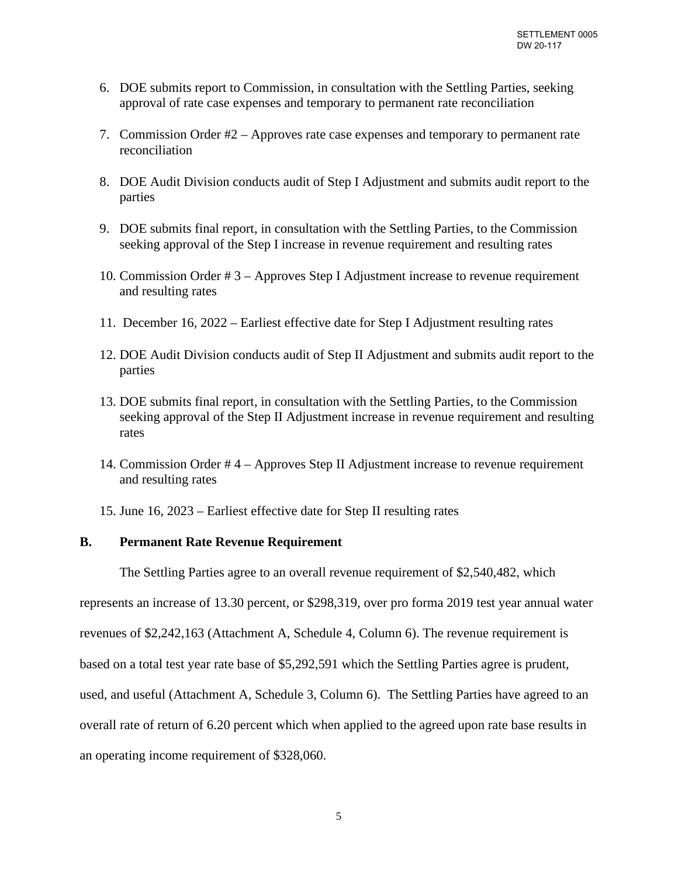- 6. DOE submits report to Commission, in consultation with the Settling Parties, seeking approval of rate case expenses and temporary to permanent rate reconciliation
- 7. Commission Order #2 Approves rate case expenses and temporary to permanent rate reconciliation
- 8. DOE Audit Division conducts audit of Step I Adjustment and submits audit report to the parties
- 9. DOE submits final report, in consultation with the Settling Parties, to the Commission seeking approval of the Step I increase in revenue requirement and resulting rates
- 10. Commission Order # 3 Approves Step I Adjustment increase to revenue requirement and resulting rates
- 11. December 16, 2022 Earliest effective date for Step I Adjustment resulting rates
- 12. DOE Audit Division conducts audit of Step II Adjustment and submits audit report to the parties
- 13. DOE submits final report, in consultation with the Settling Parties, to the Commission seeking approval of the Step II Adjustment increase in revenue requirement and resulting rates
- 14. Commission Order # 4 Approves Step II Adjustment increase to revenue requirement and resulting rates
- 15. June 16, 2023 Earliest effective date for Step II resulting rates

# **B. Permanent Rate Revenue Requirement**

The Settling Parties agree to an overall revenue requirement of \$2,540,482, which

represents an increase of 13.30 percent, or \$298,319, over pro forma 2019 test year annual water

revenues of \$2,242,163 (Attachment A, Schedule 4, Column 6). The revenue requirement is

based on a total test year rate base of \$5,292,591 which the Settling Parties agree is prudent,

used, and useful (Attachment A, Schedule 3, Column 6). The Settling Parties have agreed to an

overall rate of return of 6.20 percent which when applied to the agreed upon rate base results in

an operating income requirement of \$328,060.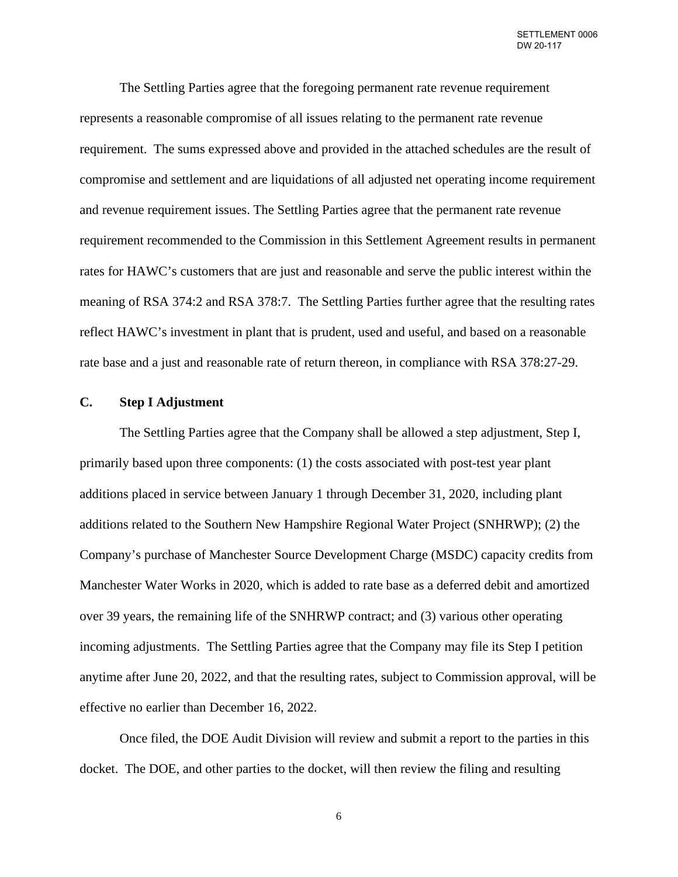The Settling Parties agree that the foregoing permanent rate revenue requirement represents a reasonable compromise of all issues relating to the permanent rate revenue requirement. The sums expressed above and provided in the attached schedules are the result of compromise and settlement and are liquidations of all adjusted net operating income requirement and revenue requirement issues. The Settling Parties agree that the permanent rate revenue requirement recommended to the Commission in this Settlement Agreement results in permanent rates for HAWC's customers that are just and reasonable and serve the public interest within the meaning of RSA 374:2 and RSA 378:7. The Settling Parties further agree that the resulting rates reflect HAWC's investment in plant that is prudent, used and useful, and based on a reasonable rate base and a just and reasonable rate of return thereon, in compliance with RSA 378:27-29.

# **C. Step I Adjustment**

The Settling Parties agree that the Company shall be allowed a step adjustment, Step I, primarily based upon three components: (1) the costs associated with post-test year plant additions placed in service between January 1 through December 31, 2020, including plant additions related to the Southern New Hampshire Regional Water Project (SNHRWP); (2) the Company's purchase of Manchester Source Development Charge (MSDC) capacity credits from Manchester Water Works in 2020, which is added to rate base as a deferred debit and amortized over 39 years, the remaining life of the SNHRWP contract; and (3) various other operating incoming adjustments. The Settling Parties agree that the Company may file its Step I petition anytime after June 20, 2022, and that the resulting rates, subject to Commission approval, will be effective no earlier than December 16, 2022.

Once filed, the DOE Audit Division will review and submit a report to the parties in this docket. The DOE, and other parties to the docket, will then review the filing and resulting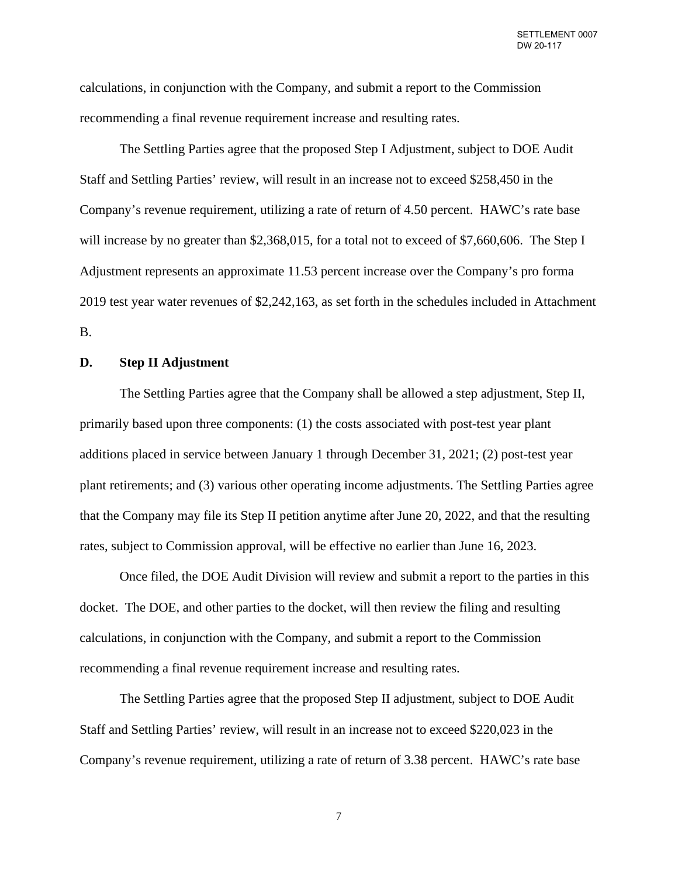calculations, in conjunction with the Company, and submit a report to the Commission recommending a final revenue requirement increase and resulting rates.

The Settling Parties agree that the proposed Step I Adjustment, subject to DOE Audit Staff and Settling Parties' review, will result in an increase not to exceed \$258,450 in the Company's revenue requirement, utilizing a rate of return of 4.50 percent. HAWC's rate base will increase by no greater than \$2,368,015, for a total not to exceed of \$7,660,606. The Step I Adjustment represents an approximate 11.53 percent increase over the Company's pro forma 2019 test year water revenues of \$2,242,163, as set forth in the schedules included in Attachment B.

## **D. Step II Adjustment**

The Settling Parties agree that the Company shall be allowed a step adjustment, Step II, primarily based upon three components: (1) the costs associated with post-test year plant additions placed in service between January 1 through December 31, 2021; (2) post-test year plant retirements; and (3) various other operating income adjustments. The Settling Parties agree that the Company may file its Step II petition anytime after June 20, 2022, and that the resulting rates, subject to Commission approval, will be effective no earlier than June 16, 2023.

Once filed, the DOE Audit Division will review and submit a report to the parties in this docket. The DOE, and other parties to the docket, will then review the filing and resulting calculations, in conjunction with the Company, and submit a report to the Commission recommending a final revenue requirement increase and resulting rates.

The Settling Parties agree that the proposed Step II adjustment, subject to DOE Audit Staff and Settling Parties' review, will result in an increase not to exceed \$220,023 in the Company's revenue requirement, utilizing a rate of return of 3.38 percent. HAWC's rate base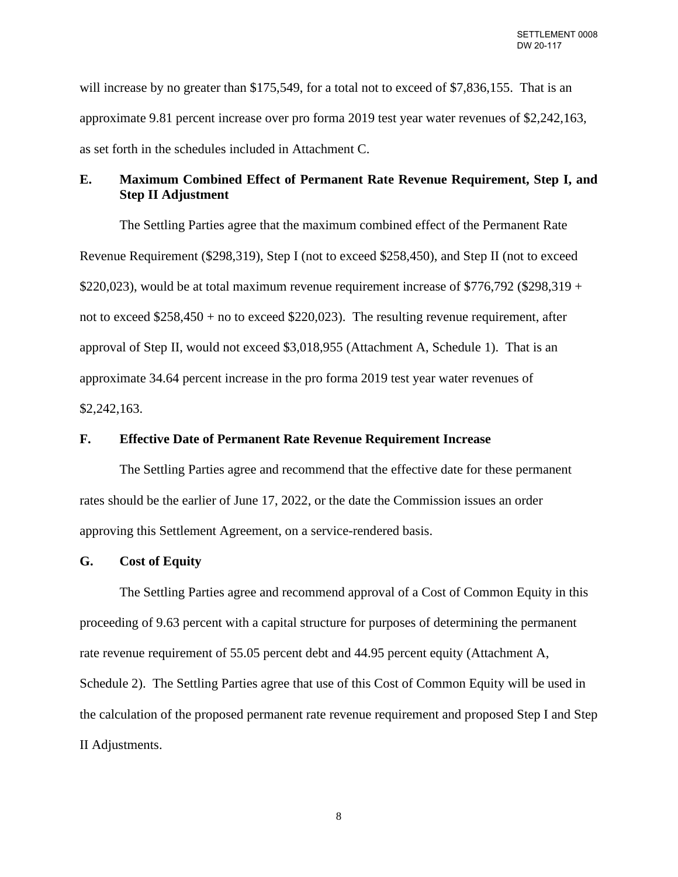will increase by no greater than \$175,549, for a total not to exceed of \$7,836,155. That is an approximate 9.81 percent increase over pro forma 2019 test year water revenues of \$2,242,163, as set forth in the schedules included in Attachment C.

# **E. Maximum Combined Effect of Permanent Rate Revenue Requirement, Step I, and Step II Adjustment**

The Settling Parties agree that the maximum combined effect of the Permanent Rate Revenue Requirement (\$298,319), Step I (not to exceed \$258,450), and Step II (not to exceed \$220,023), would be at total maximum revenue requirement increase of \$776,792 (\$298,319 + not to exceed  $$258,450 + no$  to exceed  $$220,023$ . The resulting revenue requirement, after approval of Step II, would not exceed \$3,018,955 (Attachment A, Schedule 1). That is an approximate 34.64 percent increase in the pro forma 2019 test year water revenues of \$2,242,163.

# **F. Effective Date of Permanent Rate Revenue Requirement Increase**

The Settling Parties agree and recommend that the effective date for these permanent rates should be the earlier of June 17, 2022, or the date the Commission issues an order approving this Settlement Agreement, on a service-rendered basis.

#### **G. Cost of Equity**

The Settling Parties agree and recommend approval of a Cost of Common Equity in this proceeding of 9.63 percent with a capital structure for purposes of determining the permanent rate revenue requirement of 55.05 percent debt and 44.95 percent equity (Attachment A, Schedule 2). The Settling Parties agree that use of this Cost of Common Equity will be used in the calculation of the proposed permanent rate revenue requirement and proposed Step I and Step II Adjustments.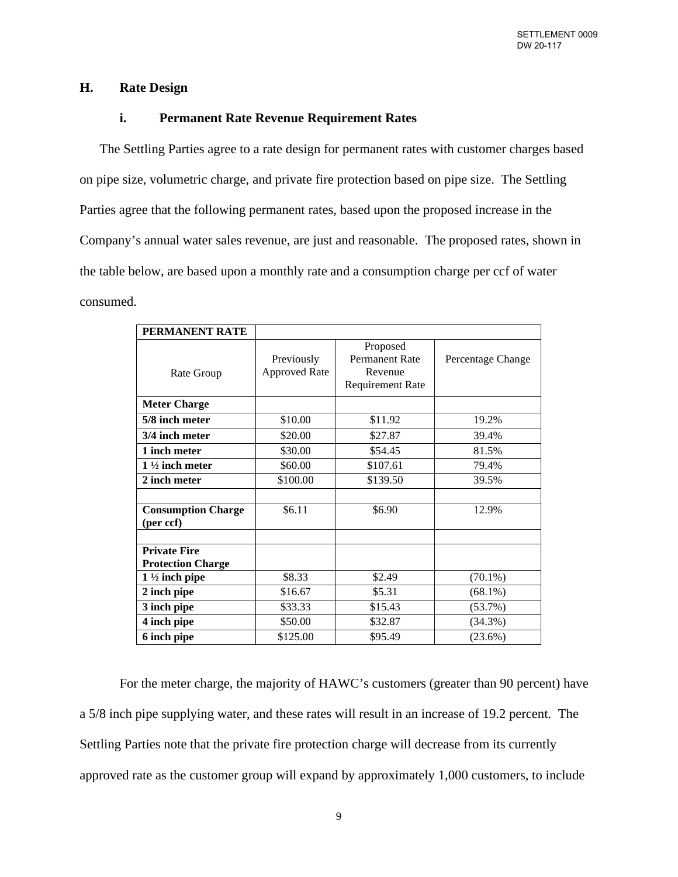# **H. Rate Design**

# **i. Permanent Rate Revenue Requirement Rates**

The Settling Parties agree to a rate design for permanent rates with customer charges based on pipe size, volumetric charge, and private fire protection based on pipe size. The Settling Parties agree that the following permanent rates, based upon the proposed increase in the Company's annual water sales revenue, are just and reasonable. The proposed rates, shown in the table below, are based upon a monthly rate and a consumption charge per ccf of water consumed.

| PERMANENT RATE                                  |                                    |                                                                         |                   |
|-------------------------------------------------|------------------------------------|-------------------------------------------------------------------------|-------------------|
| Rate Group                                      | Previously<br><b>Approved Rate</b> | Proposed<br><b>Permanent Rate</b><br>Revenue<br><b>Requirement Rate</b> | Percentage Change |
| <b>Meter Charge</b>                             |                                    |                                                                         |                   |
| 5/8 inch meter                                  | \$10.00                            | \$11.92                                                                 | 19.2%             |
| 3/4 inch meter                                  | \$20.00                            | \$27.87                                                                 | 39.4%             |
| 1 inch meter                                    | \$30.00                            | \$54.45                                                                 | 81.5%             |
| $1\frac{1}{2}$ inch meter                       | \$60.00                            | \$107.61                                                                | 79.4%             |
| 2 inch meter                                    | \$100.00                           | \$139.50                                                                | 39.5%             |
|                                                 |                                    |                                                                         |                   |
| <b>Consumption Charge</b><br>(per ccf)          | \$6.11                             | \$6.90                                                                  | 12.9%             |
|                                                 |                                    |                                                                         |                   |
| <b>Private Fire</b><br><b>Protection Charge</b> |                                    |                                                                         |                   |
| $1\frac{1}{2}$ inch pipe                        | \$8.33                             | \$2.49                                                                  | $(70.1\%)$        |
| 2 inch pipe                                     | \$16.67                            | \$5.31                                                                  | $(68.1\%)$        |
| 3 inch pipe                                     | \$33.33                            | \$15.43                                                                 | $(53.7\%)$        |
| 4 inch pipe                                     | \$50.00                            | \$32.87                                                                 | $(34.3\%)$        |
| 6 inch pipe                                     | \$125.00                           | \$95.49                                                                 | $(23.6\%)$        |

For the meter charge, the majority of HAWC's customers (greater than 90 percent) have a 5/8 inch pipe supplying water, and these rates will result in an increase of 19.2 percent. The Settling Parties note that the private fire protection charge will decrease from its currently approved rate as the customer group will expand by approximately 1,000 customers, to include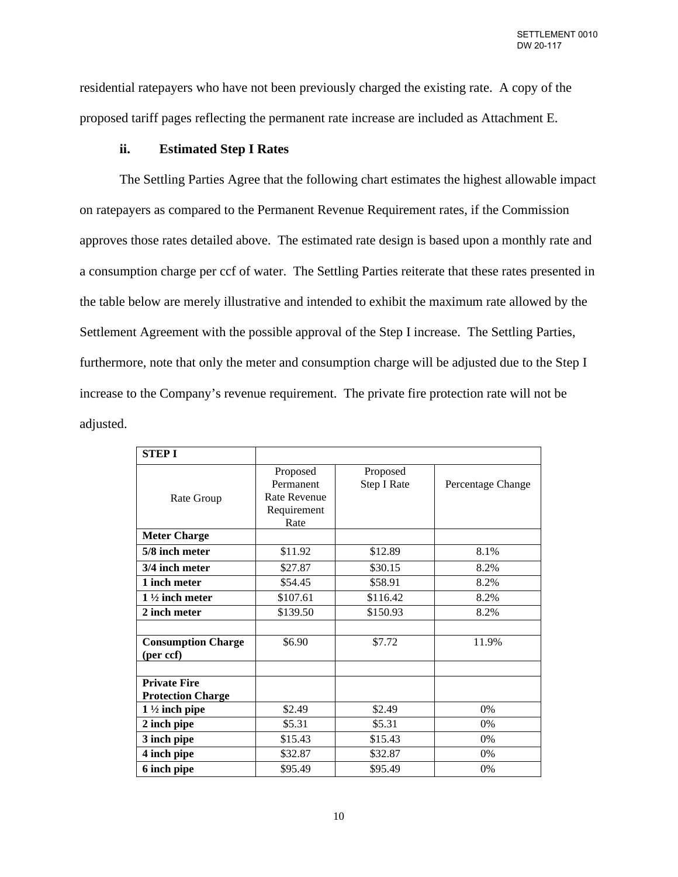residential ratepayers who have not been previously charged the existing rate. A copy of the proposed tariff pages reflecting the permanent rate increase are included as Attachment E.

## **ii. Estimated Step I Rates**

The Settling Parties Agree that the following chart estimates the highest allowable impact on ratepayers as compared to the Permanent Revenue Requirement rates, if the Commission approves those rates detailed above. The estimated rate design is based upon a monthly rate and a consumption charge per ccf of water. The Settling Parties reiterate that these rates presented in the table below are merely illustrative and intended to exhibit the maximum rate allowed by the Settlement Agreement with the possible approval of the Step I increase. The Settling Parties, furthermore, note that only the meter and consumption charge will be adjusted due to the Step I increase to the Company's revenue requirement. The private fire protection rate will not be adjusted.

| <b>STEP I</b>                                   |                                                                     |                         |                   |
|-------------------------------------------------|---------------------------------------------------------------------|-------------------------|-------------------|
| Rate Group                                      | Proposed<br>Permanent<br><b>Rate Revenue</b><br>Requirement<br>Rate | Proposed<br>Step I Rate | Percentage Change |
| <b>Meter Charge</b>                             |                                                                     |                         |                   |
| 5/8 inch meter                                  | \$11.92                                                             | \$12.89                 | 8.1%              |
| 3/4 inch meter                                  | \$27.87                                                             | \$30.15                 | 8.2%              |
| 1 inch meter                                    | \$54.45                                                             | \$58.91                 | 8.2%              |
| $1\frac{1}{2}$ inch meter                       | \$107.61                                                            | \$116.42                | 8.2%              |
| 2 inch meter                                    | \$139.50                                                            | \$150.93                | 8.2%              |
|                                                 |                                                                     |                         |                   |
| <b>Consumption Charge</b><br>(per ccf)          | \$6.90                                                              | \$7.72                  | 11.9%             |
| <b>Private Fire</b><br><b>Protection Charge</b> |                                                                     |                         |                   |
| $1\frac{1}{2}$ inch pipe                        | \$2.49                                                              | \$2.49                  | $0\%$             |
| 2 inch pipe                                     | \$5.31                                                              | \$5.31                  | $0\%$             |
| 3 inch pipe                                     | \$15.43                                                             | \$15.43                 | 0%                |
| 4 inch pipe                                     | \$32.87                                                             | \$32.87                 | 0%                |
| 6 inch pipe                                     | \$95.49                                                             | \$95.49                 | $0\%$             |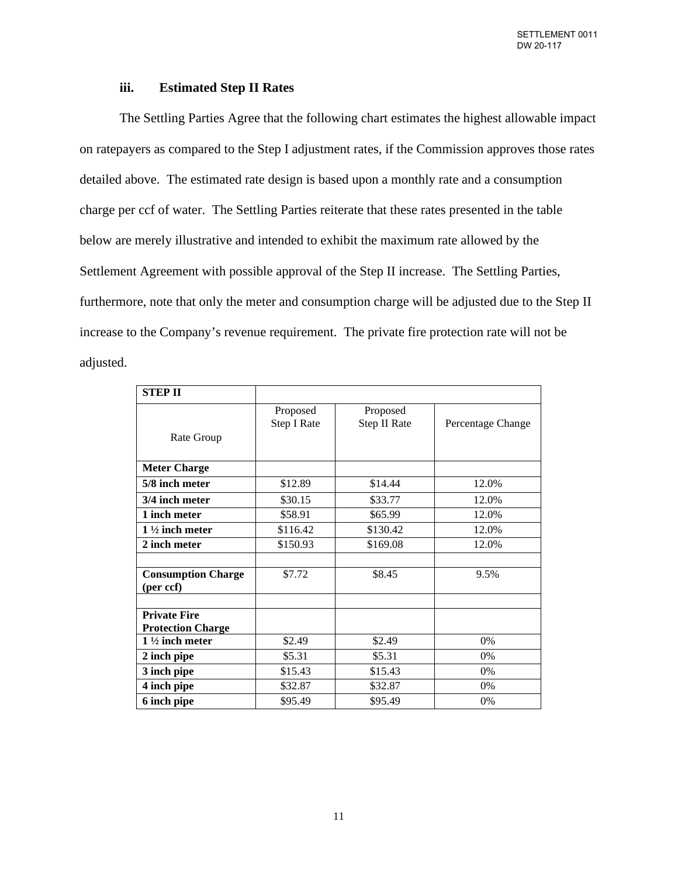# **iii. Estimated Step II Rates**

The Settling Parties Agree that the following chart estimates the highest allowable impact on ratepayers as compared to the Step I adjustment rates, if the Commission approves those rates detailed above. The estimated rate design is based upon a monthly rate and a consumption charge per ccf of water. The Settling Parties reiterate that these rates presented in the table below are merely illustrative and intended to exhibit the maximum rate allowed by the Settlement Agreement with possible approval of the Step II increase. The Settling Parties, furthermore, note that only the meter and consumption charge will be adjusted due to the Step II increase to the Company's revenue requirement. The private fire protection rate will not be adjusted.

| <b>STEP II</b>                         |             |              |                   |
|----------------------------------------|-------------|--------------|-------------------|
|                                        | Proposed    | Proposed     |                   |
|                                        | Step I Rate | Step II Rate | Percentage Change |
| Rate Group                             |             |              |                   |
| <b>Meter Charge</b>                    |             |              |                   |
| 5/8 inch meter                         | \$12.89     | \$14.44      | 12.0%             |
| 3/4 inch meter                         | \$30.15     | \$33.77      | 12.0%             |
| 1 inch meter                           | \$58.91     | \$65.99      | 12.0%             |
| $1\frac{1}{2}$ inch meter              | \$116.42    | \$130.42     | 12.0%             |
| 2 inch meter                           | \$150.93    | \$169.08     | 12.0%             |
| <b>Consumption Charge</b><br>(per ccf) | \$7.72      | \$8.45       | 9.5%              |
| <b>Private Fire</b>                    |             |              |                   |
| <b>Protection Charge</b>               |             |              |                   |
| $1\frac{1}{2}$ inch meter              | \$2.49      | \$2.49       | 0%                |
| 2 inch pipe                            | \$5.31      | \$5.31       | $0\%$             |
| 3 inch pipe                            | \$15.43     | \$15.43      | 0%                |
| 4 inch pipe                            | \$32.87     | \$32.87      | $0\%$             |
| 6 inch pipe                            | \$95.49     | \$95.49      | 0%                |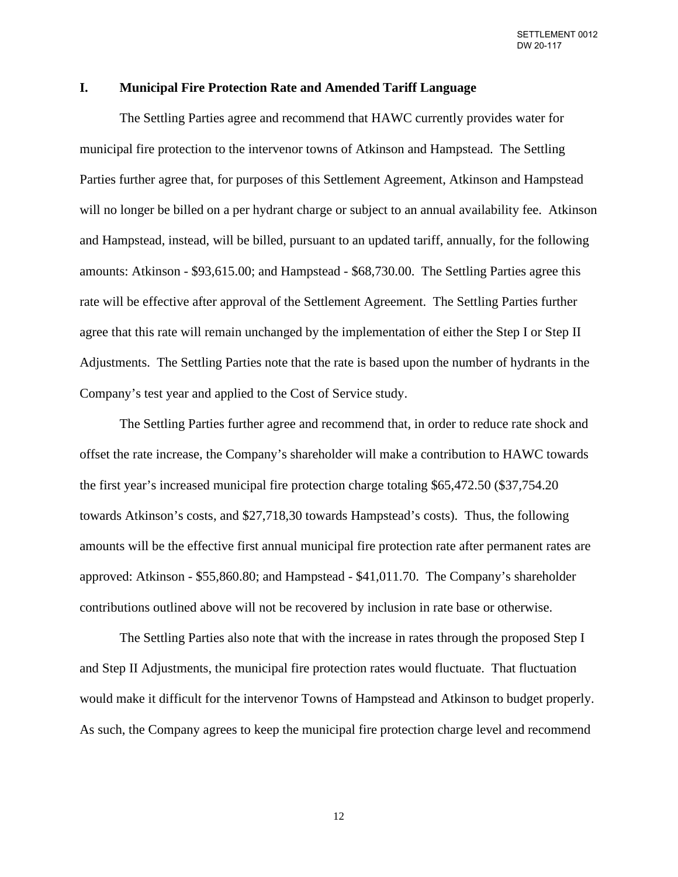# **I. Municipal Fire Protection Rate and Amended Tariff Language**

The Settling Parties agree and recommend that HAWC currently provides water for municipal fire protection to the intervenor towns of Atkinson and Hampstead. The Settling Parties further agree that, for purposes of this Settlement Agreement, Atkinson and Hampstead will no longer be billed on a per hydrant charge or subject to an annual availability fee. Atkinson and Hampstead, instead, will be billed, pursuant to an updated tariff, annually, for the following amounts: Atkinson - \$93,615.00; and Hampstead - \$68,730.00. The Settling Parties agree this rate will be effective after approval of the Settlement Agreement. The Settling Parties further agree that this rate will remain unchanged by the implementation of either the Step I or Step II Adjustments. The Settling Parties note that the rate is based upon the number of hydrants in the Company's test year and applied to the Cost of Service study.

The Settling Parties further agree and recommend that, in order to reduce rate shock and offset the rate increase, the Company's shareholder will make a contribution to HAWC towards the first year's increased municipal fire protection charge totaling \$65,472.50 (\$37,754.20 towards Atkinson's costs, and \$27,718,30 towards Hampstead's costs). Thus, the following amounts will be the effective first annual municipal fire protection rate after permanent rates are approved: Atkinson - \$55,860.80; and Hampstead - \$41,011.70. The Company's shareholder contributions outlined above will not be recovered by inclusion in rate base or otherwise.

The Settling Parties also note that with the increase in rates through the proposed Step I and Step II Adjustments, the municipal fire protection rates would fluctuate. That fluctuation would make it difficult for the intervenor Towns of Hampstead and Atkinson to budget properly. As such, the Company agrees to keep the municipal fire protection charge level and recommend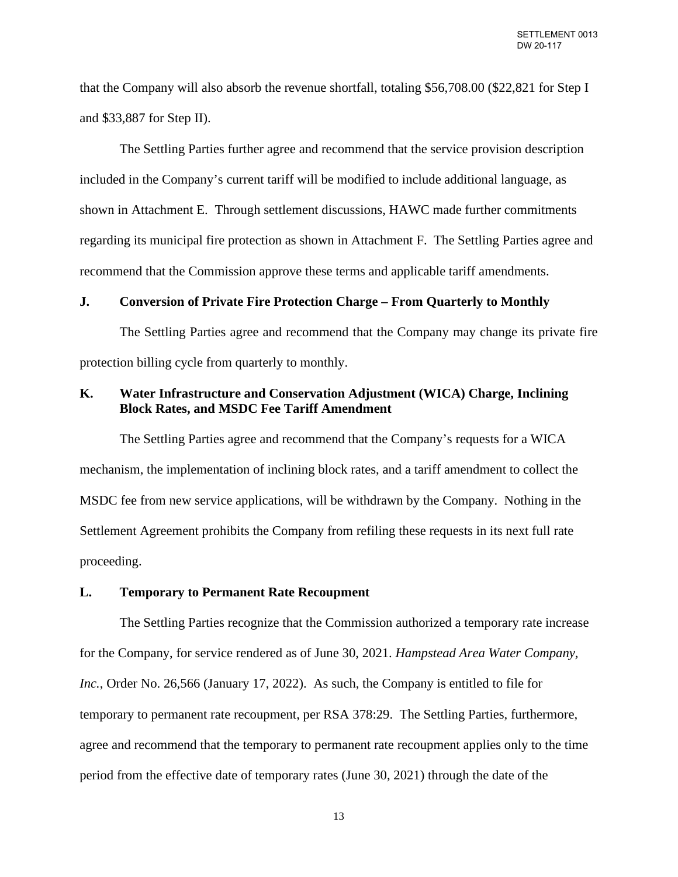that the Company will also absorb the revenue shortfall, totaling \$56,708.00 (\$22,821 for Step I and \$33,887 for Step II).

The Settling Parties further agree and recommend that the service provision description included in the Company's current tariff will be modified to include additional language, as shown in Attachment E. Through settlement discussions, HAWC made further commitments regarding its municipal fire protection as shown in Attachment F. The Settling Parties agree and recommend that the Commission approve these terms and applicable tariff amendments.

#### **J. Conversion of Private Fire Protection Charge – From Quarterly to Monthly**

The Settling Parties agree and recommend that the Company may change its private fire protection billing cycle from quarterly to monthly.

# **K. Water Infrastructure and Conservation Adjustment (WICA) Charge, Inclining Block Rates, and MSDC Fee Tariff Amendment**

The Settling Parties agree and recommend that the Company's requests for a WICA mechanism, the implementation of inclining block rates, and a tariff amendment to collect the MSDC fee from new service applications, will be withdrawn by the Company. Nothing in the Settlement Agreement prohibits the Company from refiling these requests in its next full rate proceeding.

# **L. Temporary to Permanent Rate Recoupment**

The Settling Parties recognize that the Commission authorized a temporary rate increase for the Company, for service rendered as of June 30, 2021. *Hampstead Area Water Company, Inc.*, Order No. 26,566 (January 17, 2022). As such, the Company is entitled to file for temporary to permanent rate recoupment, per RSA 378:29. The Settling Parties, furthermore, agree and recommend that the temporary to permanent rate recoupment applies only to the time period from the effective date of temporary rates (June 30, 2021) through the date of the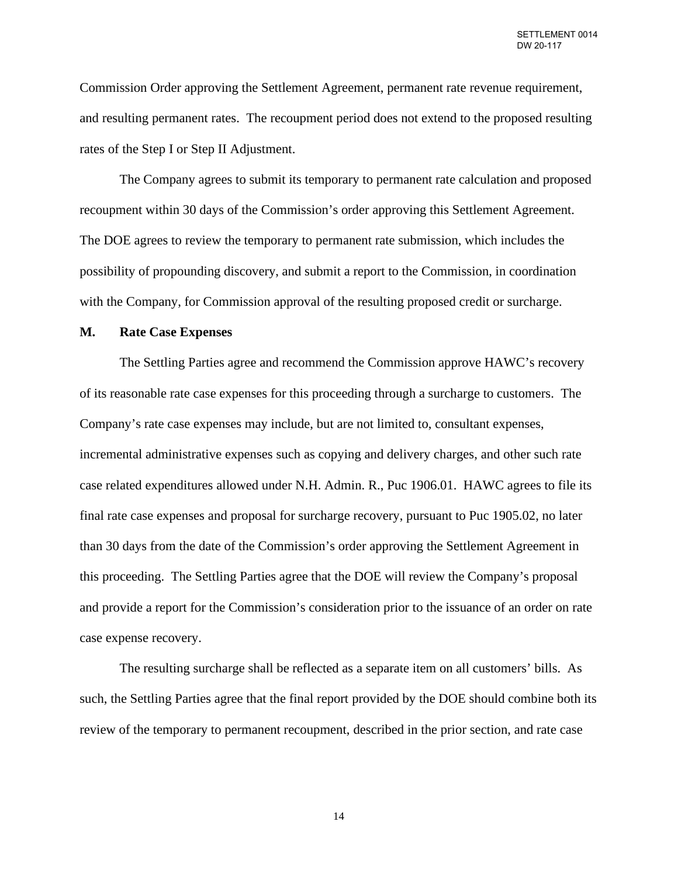Commission Order approving the Settlement Agreement, permanent rate revenue requirement, and resulting permanent rates. The recoupment period does not extend to the proposed resulting rates of the Step I or Step II Adjustment.

The Company agrees to submit its temporary to permanent rate calculation and proposed recoupment within 30 days of the Commission's order approving this Settlement Agreement. The DOE agrees to review the temporary to permanent rate submission, which includes the possibility of propounding discovery, and submit a report to the Commission, in coordination with the Company, for Commission approval of the resulting proposed credit or surcharge.

#### **M. Rate Case Expenses**

The Settling Parties agree and recommend the Commission approve HAWC's recovery of its reasonable rate case expenses for this proceeding through a surcharge to customers. The Company's rate case expenses may include, but are not limited to, consultant expenses, incremental administrative expenses such as copying and delivery charges, and other such rate case related expenditures allowed under N.H. Admin. R., Puc 1906.01. HAWC agrees to file its final rate case expenses and proposal for surcharge recovery, pursuant to Puc 1905.02, no later than 30 days from the date of the Commission's order approving the Settlement Agreement in this proceeding. The Settling Parties agree that the DOE will review the Company's proposal and provide a report for the Commission's consideration prior to the issuance of an order on rate case expense recovery.

The resulting surcharge shall be reflected as a separate item on all customers' bills. As such, the Settling Parties agree that the final report provided by the DOE should combine both its review of the temporary to permanent recoupment, described in the prior section, and rate case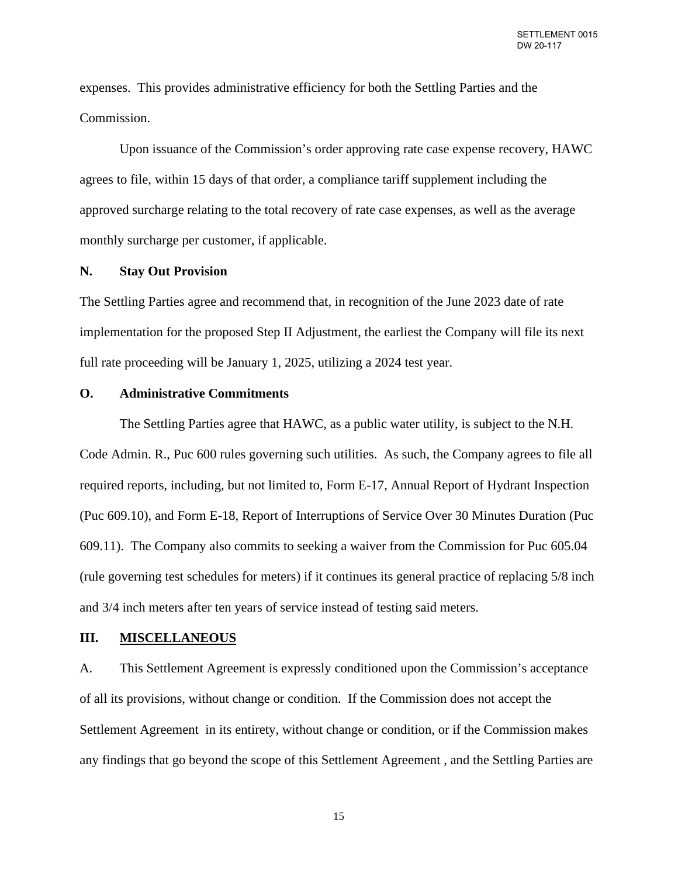expenses. This provides administrative efficiency for both the Settling Parties and the Commission.

Upon issuance of the Commission's order approving rate case expense recovery, HAWC agrees to file, within 15 days of that order, a compliance tariff supplement including the approved surcharge relating to the total recovery of rate case expenses, as well as the average monthly surcharge per customer, if applicable.

#### **N. Stay Out Provision**

The Settling Parties agree and recommend that, in recognition of the June 2023 date of rate implementation for the proposed Step II Adjustment, the earliest the Company will file its next full rate proceeding will be January 1, 2025, utilizing a 2024 test year.

#### **O. Administrative Commitments**

The Settling Parties agree that HAWC, as a public water utility, is subject to the N.H. Code Admin. R., Puc 600 rules governing such utilities. As such, the Company agrees to file all required reports, including, but not limited to, Form E-17, Annual Report of Hydrant Inspection (Puc 609.10), and Form E-18, Report of Interruptions of Service Over 30 Minutes Duration (Puc 609.11). The Company also commits to seeking a waiver from the Commission for Puc 605.04 (rule governing test schedules for meters) if it continues its general practice of replacing 5/8 inch and 3/4 inch meters after ten years of service instead of testing said meters.

#### **III. MISCELLANEOUS**

A. This Settlement Agreement is expressly conditioned upon the Commission's acceptance of all its provisions, without change or condition. If the Commission does not accept the Settlement Agreement in its entirety, without change or condition, or if the Commission makes any findings that go beyond the scope of this Settlement Agreement , and the Settling Parties are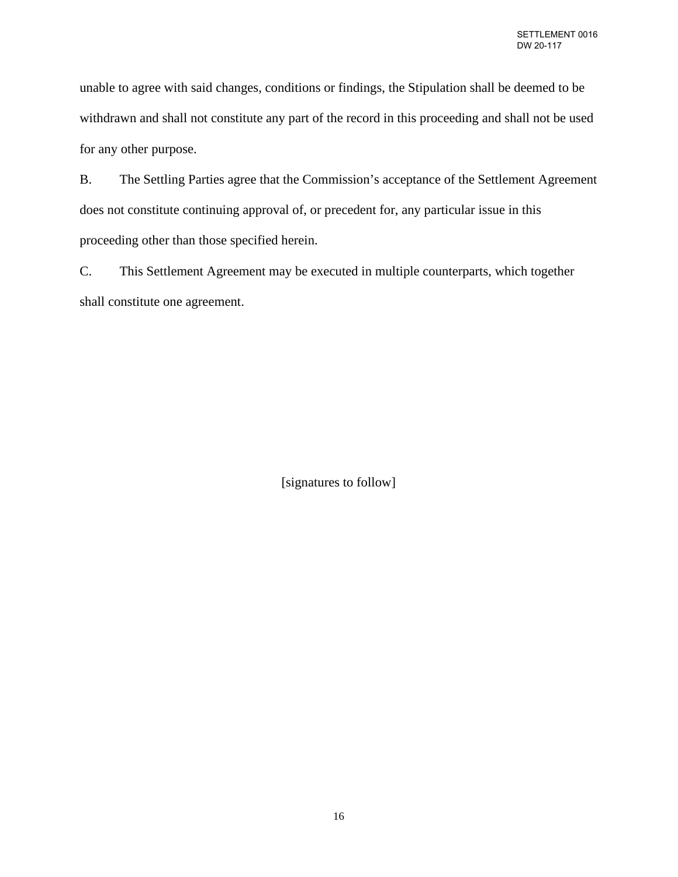unable to agree with said changes, conditions or findings, the Stipulation shall be deemed to be withdrawn and shall not constitute any part of the record in this proceeding and shall not be used for any other purpose.

B. The Settling Parties agree that the Commission's acceptance of the Settlement Agreement does not constitute continuing approval of, or precedent for, any particular issue in this proceeding other than those specified herein.

C. This Settlement Agreement may be executed in multiple counterparts, which together shall constitute one agreement.

[signatures to follow]